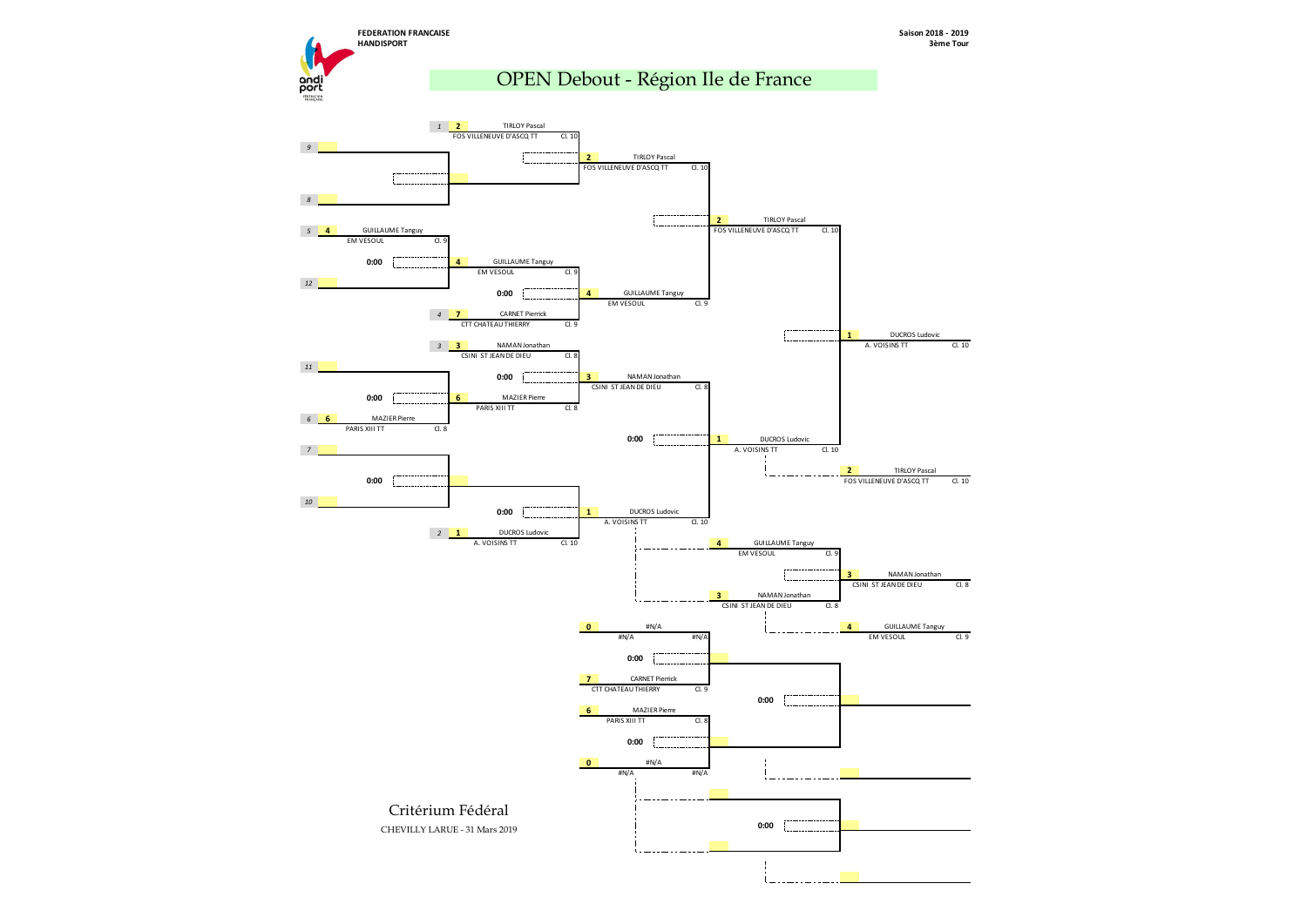